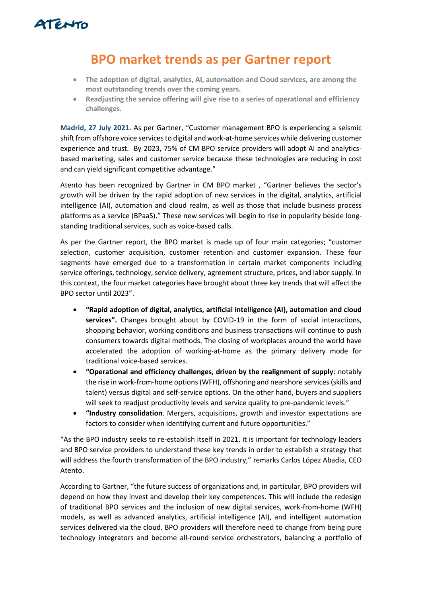

## **BPO market trends as per Gartner report**

- **The adoption of digital, analytics, AI, automation and Cloud services, are among the most outstanding trends over the coming years.**
- **Readjusting the service offering will give rise to a series of operational and efficiency challenges.**

**Madrid, 27 July 2021.** As per Gartner, "Customer management BPO is experiencing a seismic shift from offshore voice services to digital and work-at-home services while delivering customer experience and trust. By 2023, 75% of CM BPO service providers will adopt AI and analyticsbased marketing, sales and customer service because these technologies are reducing in cost and can yield significant competitive advantage."

Atento has been recognized by Gartner in CM BPO market , "Gartner believes the sector's growth will be driven by the rapid adoption of new services in the digital, analytics, artificial intelligence (AI), automation and cloud realm, as well as those that include business process platforms as a service (BPaaS)." These new services will begin to rise in popularity beside longstanding traditional services, such as voice-based calls.

As per the Gartner report, the BPO market is made up of four main categories; "customer selection, customer acquisition, customer retention and customer expansion. These four segments have emerged due to a transformation in certain market components including service offerings, technology, service delivery, agreement structure, prices, and labor supply. In this context, the four market categories have brought about three key trends that will affect the BPO sector until 2023".

- **"Rapid adoption of digital, analytics, artificial intelligence (AI), automation and cloud services".** Changes brought about by COVID-19 in the form of social interactions, shopping behavior, working conditions and business transactions will continue to push consumers towards digital methods. The closing of workplaces around the world have accelerated the adoption of working-at-home as the primary delivery mode for traditional voice-based services.
- **"Operational and efficiency challenges, driven by the realignment of supply**: notably the rise in work-from-home options (WFH), offshoring and nearshore services (skills and talent) versus digital and self-service options. On the other hand, buyers and suppliers will seek to readjust productivity levels and service quality to pre-pandemic levels."
- **"Industry consolidation**. Mergers, acquisitions, growth and investor expectations are factors to consider when identifying current and future opportunities."

"As the BPO industry seeks to re-establish itself in 2021, it is important for technology leaders and BPO service providers to understand these key trends in order to establish a strategy that will address the fourth transformation of the BPO industry," remarks Carlos López Abadia, CEO Atento.

According to Gartner, "the future success of organizations and, in particular, BPO providers will depend on how they invest and develop their key competences. This will include the redesign of traditional BPO services and the inclusion of new digital services, work-from-home (WFH) models, as well as advanced analytics, artificial intelligence (AI), and intelligent automation services delivered via the cloud. BPO providers will therefore need to change from being pure technology integrators and become all-round service orchestrators, balancing a portfolio of